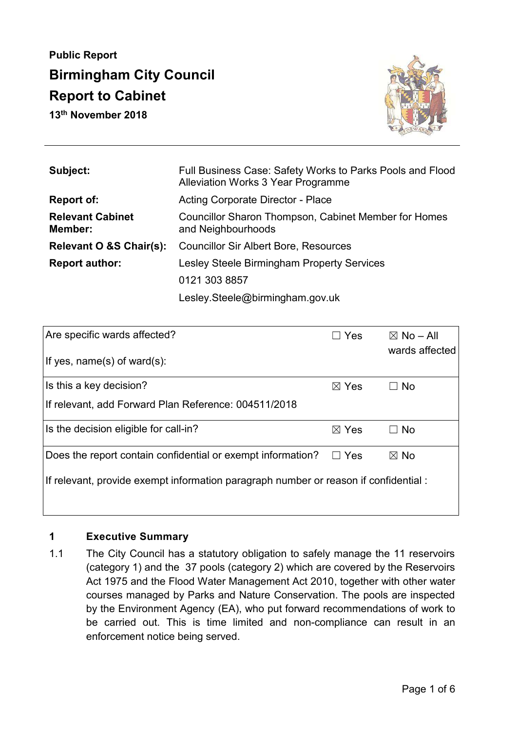# **Public Report Birmingham City Council Report to Cabinet**

**13th November 2018** 



| Subject:                           | Full Business Case: Safety Works to Parks Pools and Flood<br>Alleviation Works 3 Year Programme |  |
|------------------------------------|-------------------------------------------------------------------------------------------------|--|
| Report of:                         | <b>Acting Corporate Director - Place</b>                                                        |  |
| <b>Relevant Cabinet</b><br>Member: | <b>Councillor Sharon Thompson, Cabinet Member for Homes</b><br>and Neighbourhoods               |  |
| Relevant O &S Chair(s):            | <b>Councillor Sir Albert Bore, Resources</b>                                                    |  |
| <b>Report author:</b>              | Lesley Steele Birmingham Property Services                                                      |  |
|                                    | 0121 303 8857                                                                                   |  |
|                                    | Lesley.Steele@birmingham.gov.uk                                                                 |  |

| Are specific wards affected?                                                        | Yes             | $\boxtimes$ No – All<br>wards affected |  |
|-------------------------------------------------------------------------------------|-----------------|----------------------------------------|--|
| If yes, name(s) of ward(s):                                                         |                 |                                        |  |
| Is this a key decision?                                                             | $\boxtimes$ Yes | $\Box$ No                              |  |
| If relevant, add Forward Plan Reference: 004511/2018                                |                 |                                        |  |
| Is the decision eligible for call-in?                                               | $\boxtimes$ Yes | $\Box$ No                              |  |
| Does the report contain confidential or exempt information?                         | Yes<br>$\perp$  | $\boxtimes$ No                         |  |
| If relevant, provide exempt information paragraph number or reason if confidential: |                 |                                        |  |
|                                                                                     |                 |                                        |  |

# **1 Executive Summary**

1.1 The City Council has a statutory obligation to safely manage the 11 reservoirs (category 1) and the 37 pools (category 2) which are covered by the Reservoirs Act 1975 and the Flood Water Management Act 2010, together with other water courses managed by Parks and Nature Conservation. The pools are inspected by the Environment Agency (EA), who put forward recommendations of work to be carried out. This is time limited and non-compliance can result in an enforcement notice being served.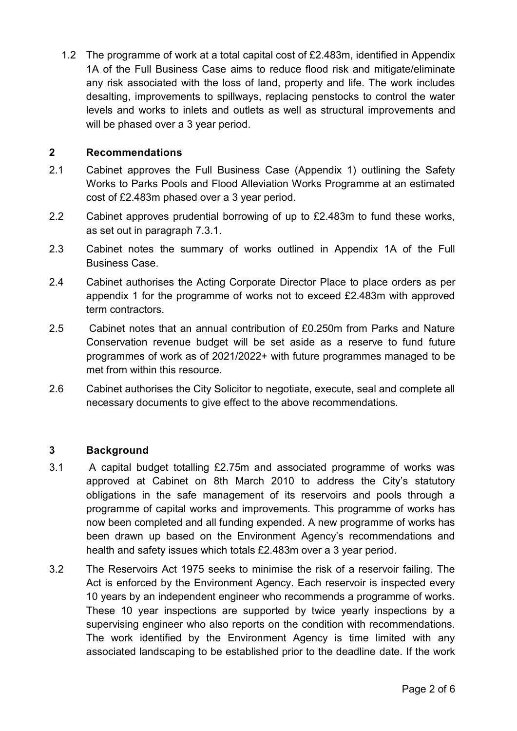1.2 The programme of work at a total capital cost of £2.483m, identified in Appendix 1A of the Full Business Case aims to reduce flood risk and mitigate/eliminate any risk associated with the loss of land, property and life. The work includes desalting, improvements to spillways, replacing penstocks to control the water levels and works to inlets and outlets as well as structural improvements and will be phased over a 3 year period.

#### **2 Recommendations**

- 2.1 Cabinet approves the Full Business Case (Appendix 1) outlining the Safety Works to Parks Pools and Flood Alleviation Works Programme at an estimated cost of £2.483m phased over a 3 year period.
- 2.2 Cabinet approves prudential borrowing of up to £2.483m to fund these works, as set out in paragraph 7.3.1.
- 2.3 Cabinet notes the summary of works outlined in Appendix 1A of the Full Business Case.
- 2.4 Cabinet authorises the Acting Corporate Director Place to place orders as per appendix 1 for the programme of works not to exceed £2.483m with approved term contractors.
- 2.5 Cabinet notes that an annual contribution of £0.250m from Parks and Nature Conservation revenue budget will be set aside as a reserve to fund future programmes of work as of 2021/2022+ with future programmes managed to be met from within this resource.
- 2.6 Cabinet authorises the City Solicitor to negotiate, execute, seal and complete all necessary documents to give effect to the above recommendations.

## **3 Background**

- 3.1 A capital budget totalling £2.75m and associated programme of works was approved at Cabinet on 8th March 2010 to address the City's statutory obligations in the safe management of its reservoirs and pools through a programme of capital works and improvements. This programme of works has now been completed and all funding expended. A new programme of works has been drawn up based on the Environment Agency's recommendations and health and safety issues which totals £2.483m over a 3 year period.
- 3.2 The Reservoirs Act 1975 seeks to minimise the risk of a reservoir failing. The Act is enforced by the Environment Agency. Each reservoir is inspected every 10 years by an independent engineer who recommends a programme of works. These 10 year inspections are supported by twice yearly inspections by a supervising engineer who also reports on the condition with recommendations. The work identified by the Environment Agency is time limited with any associated landscaping to be established prior to the deadline date. If the work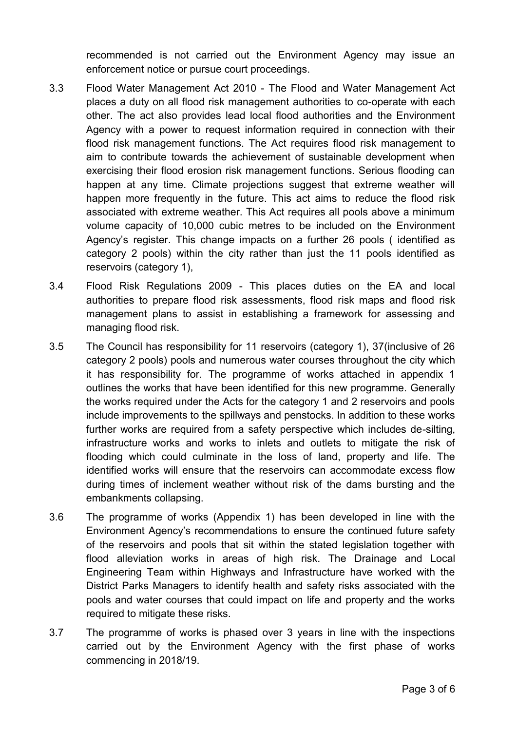recommended is not carried out the Environment Agency may issue an enforcement notice or pursue court proceedings.

- 3.3 Flood Water Management Act 2010 The Flood and Water Management Act places a duty on all flood risk management authorities to co-operate with each other. The act also provides lead local flood authorities and the Environment Agency with a power to request information required in connection with their flood risk management functions. The Act requires flood risk management to aim to contribute towards the achievement of sustainable development when exercising their flood erosion risk management functions. Serious flooding can happen at any time. Climate projections suggest that extreme weather will happen more frequently in the future. This act aims to reduce the flood risk associated with extreme weather. This Act requires all pools above a minimum volume capacity of 10,000 cubic metres to be included on the Environment Agency's register. This change impacts on a further 26 pools ( identified as category 2 pools) within the city rather than just the 11 pools identified as reservoirs (category 1),
- 3.4 Flood Risk Regulations 2009 This places duties on the EA and local authorities to prepare flood risk assessments, flood risk maps and flood risk management plans to assist in establishing a framework for assessing and managing flood risk.
- 3.5 The Council has responsibility for 11 reservoirs (category 1), 37(inclusive of 26 category 2 pools) pools and numerous water courses throughout the city which it has responsibility for. The programme of works attached in appendix 1 outlines the works that have been identified for this new programme. Generally the works required under the Acts for the category 1 and 2 reservoirs and pools include improvements to the spillways and penstocks. In addition to these works further works are required from a safety perspective which includes de-silting, infrastructure works and works to inlets and outlets to mitigate the risk of flooding which could culminate in the loss of land, property and life. The identified works will ensure that the reservoirs can accommodate excess flow during times of inclement weather without risk of the dams bursting and the embankments collapsing.
- 3.6 The programme of works (Appendix 1) has been developed in line with the Environment Agency's recommendations to ensure the continued future safety of the reservoirs and pools that sit within the stated legislation together with flood alleviation works in areas of high risk. The Drainage and Local Engineering Team within Highways and Infrastructure have worked with the District Parks Managers to identify health and safety risks associated with the pools and water courses that could impact on life and property and the works required to mitigate these risks.
- 3.7 The programme of works is phased over 3 years in line with the inspections carried out by the Environment Agency with the first phase of works commencing in 2018/19.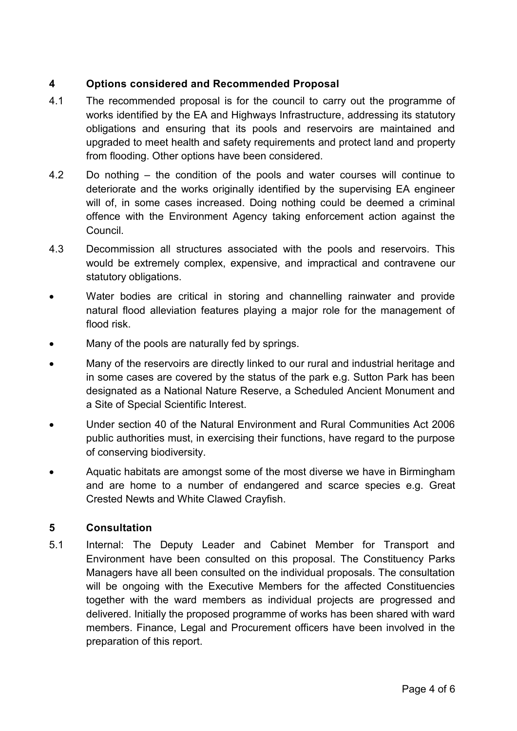# **4 Options considered and Recommended Proposal**

- 4.1 The recommended proposal is for the council to carry out the programme of works identified by the EA and Highways Infrastructure, addressing its statutory obligations and ensuring that its pools and reservoirs are maintained and upgraded to meet health and safety requirements and protect land and property from flooding. Other options have been considered.
- 4.2 Do nothing the condition of the pools and water courses will continue to deteriorate and the works originally identified by the supervising EA engineer will of, in some cases increased. Doing nothing could be deemed a criminal offence with the Environment Agency taking enforcement action against the Council.
- 4.3 Decommission all structures associated with the pools and reservoirs. This would be extremely complex, expensive, and impractical and contravene our statutory obligations.
- Water bodies are critical in storing and channelling rainwater and provide natural flood alleviation features playing a major role for the management of flood risk.
- Many of the pools are naturally fed by springs.
- Many of the reservoirs are directly linked to our rural and industrial heritage and in some cases are covered by the status of the park e.g. Sutton Park has been designated as a National Nature Reserve, a Scheduled Ancient Monument and a Site of Special Scientific Interest.
- Under section 40 of the Natural Environment and Rural Communities Act 2006 public authorities must, in exercising their functions, have regard to the purpose of conserving biodiversity.
- Aquatic habitats are amongst some of the most diverse we have in Birmingham and are home to a number of endangered and scarce species e.g. Great Crested Newts and White Clawed Crayfish.

## **5 Consultation**

5.1 Internal: The Deputy Leader and Cabinet Member for Transport and Environment have been consulted on this proposal. The Constituency Parks Managers have all been consulted on the individual proposals. The consultation will be ongoing with the Executive Members for the affected Constituencies together with the ward members as individual projects are progressed and delivered. Initially the proposed programme of works has been shared with ward members. Finance, Legal and Procurement officers have been involved in the preparation of this report.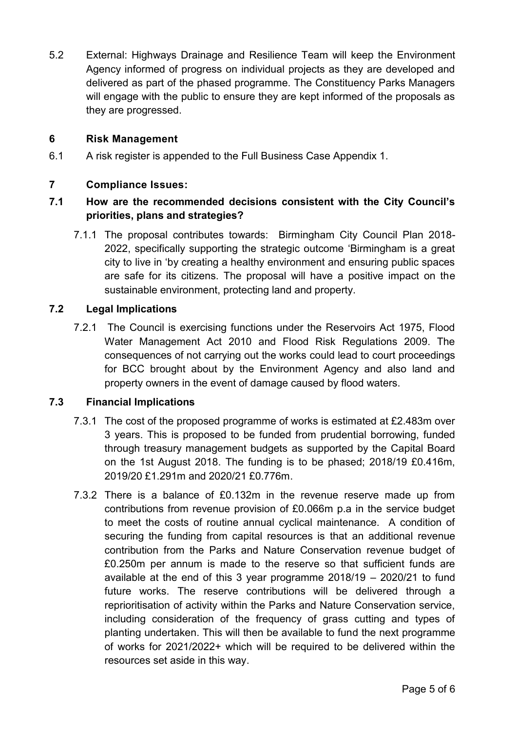5.2 External: Highways Drainage and Resilience Team will keep the Environment Agency informed of progress on individual projects as they are developed and delivered as part of the phased programme. The Constituency Parks Managers will engage with the public to ensure they are kept informed of the proposals as they are progressed.

## **6 Risk Management**

6.1 A risk register is appended to the Full Business Case Appendix 1.

# **7 Compliance Issues:**

# **7.1 How are the recommended decisions consistent with the City Council's priorities, plans and strategies?**

7.1.1 The proposal contributes towards: Birmingham City Council Plan 2018- 2022, specifically supporting the strategic outcome 'Birmingham is a great city to live in 'by creating a healthy environment and ensuring public spaces are safe for its citizens. The proposal will have a positive impact on the sustainable environment, protecting land and property.

# **7.2 Legal Implications**

7.2.1 The Council is exercising functions under the Reservoirs Act 1975, Flood Water Management Act 2010 and Flood Risk Regulations 2009. The consequences of not carrying out the works could lead to court proceedings for BCC brought about by the Environment Agency and also land and property owners in the event of damage caused by flood waters.

## **7.3 Financial Implications**

- 7.3.1 The cost of the proposed programme of works is estimated at £2.483m over 3 years. This is proposed to be funded from prudential borrowing, funded through treasury management budgets as supported by the Capital Board on the 1st August 2018. The funding is to be phased; 2018/19 £0.416m, 2019/20 £1.291m and 2020/21 £0.776m.
- 7.3.2 There is a balance of £0.132m in the revenue reserve made up from contributions from revenue provision of £0.066m p.a in the service budget to meet the costs of routine annual cyclical maintenance. A condition of securing the funding from capital resources is that an additional revenue contribution from the Parks and Nature Conservation revenue budget of £0.250m per annum is made to the reserve so that sufficient funds are available at the end of this 3 year programme 2018/19 – 2020/21 to fund future works. The reserve contributions will be delivered through a reprioritisation of activity within the Parks and Nature Conservation service, including consideration of the frequency of grass cutting and types of planting undertaken. This will then be available to fund the next programme of works for 2021/2022+ which will be required to be delivered within the resources set aside in this way.